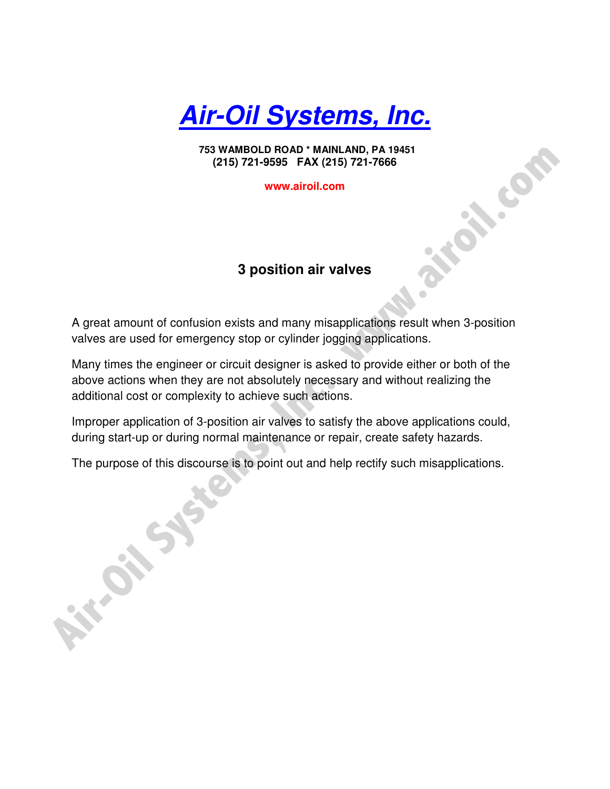**Air-Oil Systems, Inc.**

 **753 WAMBOLD ROAD \* MAINLAND, PA 19451 (215) 721-9595 FAX (215) 721-7666** 

**www.airoil.com**

# **3 position air valves**

A great amount of confusion exists and many misapplications result when 3-position valves are used for emergency stop or cylinder jogging applications.

Many times the engineer or circuit designer is asked to provide either or both of the above actions when they are not absolutely necessary and without realizing the additional cost or complexity to achieve such actions.

Improper application of 3-position air valves to satisfy the above applications could, during start-up or during normal maintenance or repair, create safety hazards.

The purpose of this discourse is to point out and help rectify such misapplications.

753 WAMBOLD ROAD<sup>-</sup> MANILAND, PA 19451<br>
(215) 721-9595 FAX (215) 721-7666<br>
WWW.airoil.com<br> **A** great amount of confusion exists and many misapplications result when 3-position<br>
values are used for emergency stop or cylinde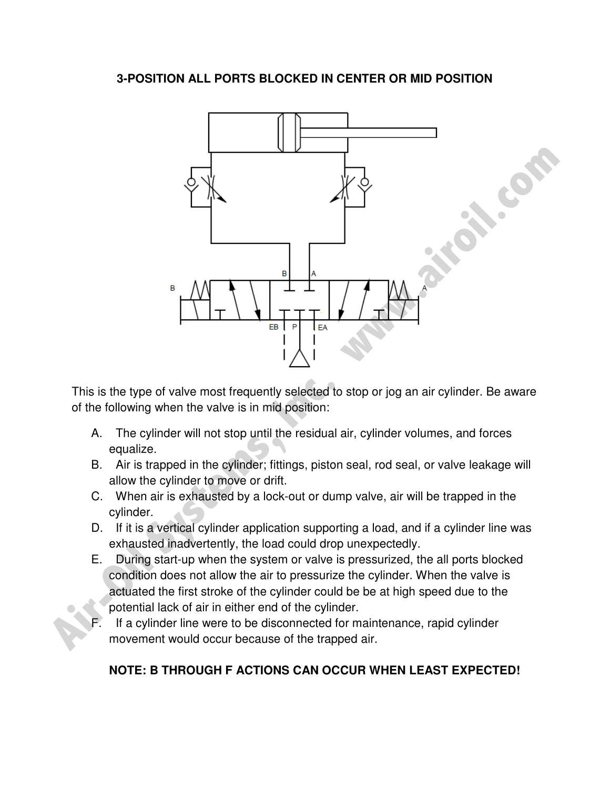### **3-POSITION ALL PORTS BLOCKED IN CENTER OR MID POSITION**



This is the type of valve most frequently selected to stop or jog an air cylinder. Be aware of the following when the valve is in mid position:

- A. The cylinder will not stop until the residual air, cylinder volumes, and forces equalize.
- B. Air is trapped in the cylinder; fittings, piston seal, rod seal, or valve leakage will allow the cylinder to move or drift.
- C. When air is exhausted by a lock-out or dump valve, air will be trapped in the cylinder.
- D. If it is a vertical cylinder application supporting a load, and if a cylinder line was exhausted inadvertently, the load could drop unexpectedly.
- E. During start-up when the system or valve is pressurized, the all ports blocked condition does not allow the air to pressurize the cylinder. When the valve is actuated the first stroke of the cylinder could be be at high speed due to the potential lack of air in either end of the cylinder.
- If a cylinder line were to be disconnected for maintenance, rapid cylinder movement would occur because of the trapped air.

# **NOTE: B THROUGH F ACTIONS CAN OCCUR WHEN LEAST EXPECTED!**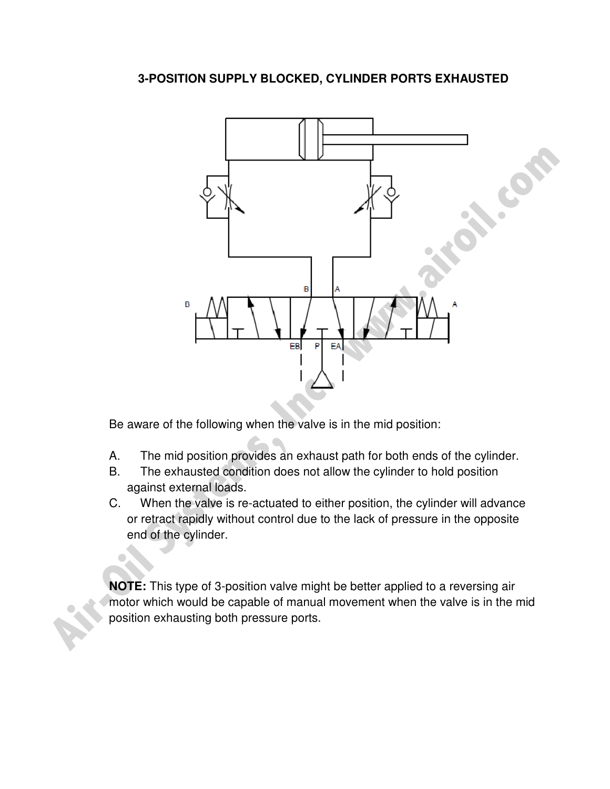# **3-POSITION SUPPLY BLOCKED, CYLINDER PORTS EXHAUSTED**



Be aware of the following when the valve is in the mid position:

- A. The mid position provides an exhaust path for both ends of the cylinder.
- B. The exhausted condition does not allow the cylinder to hold position against external loads.
- C. When the valve is re-actuated to either position, the cylinder will advance or retract rapidly without control due to the lack of pressure in the opposite end of the cylinder.

**NOTE:** This type of 3-position valve might be better applied to a reversing air motor which would be capable of manual movement when the valve is in the mid position exhausting both pressure ports.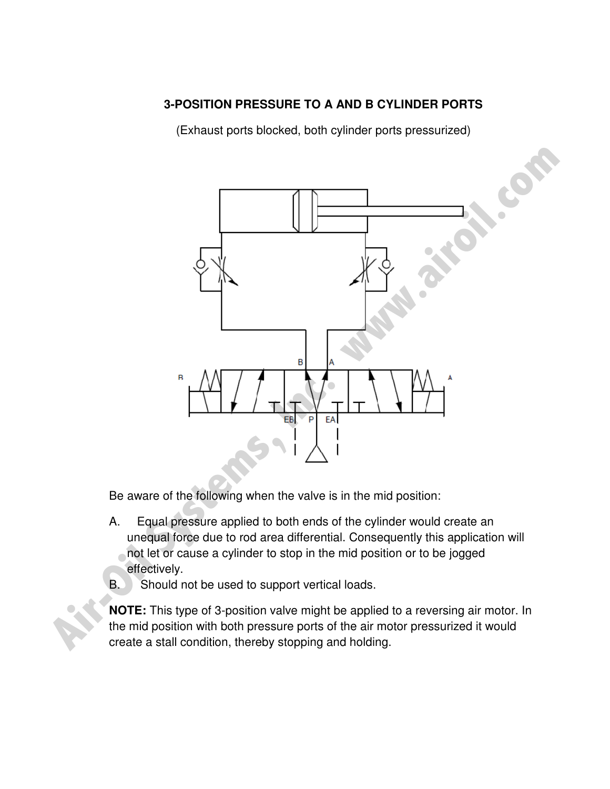# **3-POSITION PRESSURE TO A AND B CYLINDER PORTS**

(Exhaust ports blocked, both cylinder ports pressurized)



Be aware of the following when the valve is in the mid position:

- A. Equal pressure applied to both ends of the cylinder would create an unequal force due to rod area differential. Consequently this application will not let or cause a cylinder to stop in the mid position or to be jogged effectively.
- B. Should not be used to support vertical loads.

**NOTE:** This type of 3-position valve might be applied to a reversing air motor. In the mid position with both pressure ports of the air motor pressurized it would create a stall condition, thereby stopping and holding.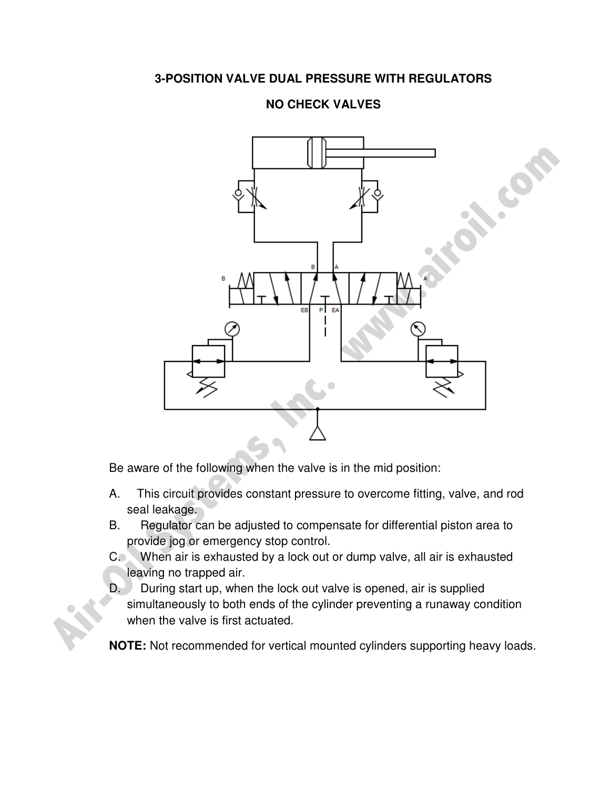### **3-POSITION VALVE DUAL PRESSURE WITH REGULATORS**

# **NO CHECK VALVES**



Be aware of the following when the valve is in the mid position:

- A. This circuit provides constant pressure to overcome fitting, valve, and rod seal leakage.
- B. Regulator can be adjusted to compensate for differential piston area to provide jog or emergency stop control.
- C. When air is exhausted by a lock out or dump valve, all air is exhausted leaving no trapped air.
- D. During start up, when the lock out valve is opened, air is supplied simultaneously to both ends of the cylinder preventing a runaway condition when the valve is first actuated.

**NOTE:** Not recommended for vertical mounted cylinders supporting heavy loads.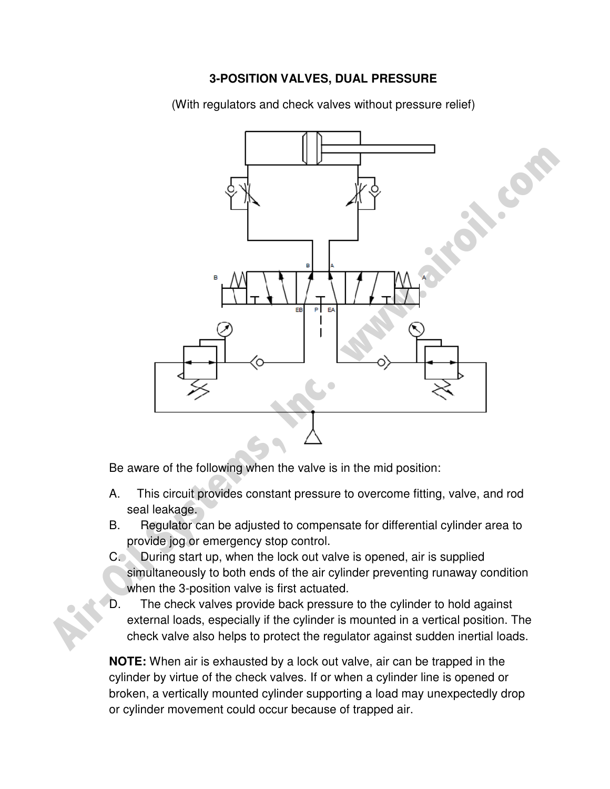#### **3-POSITION VALVES, DUAL PRESSURE**

(With regulators and check valves without pressure relief)



Be aware of the following when the valve is in the mid position:

- A. This circuit provides constant pressure to overcome fitting, valve, and rod seal leakage.
- B. Regulator can be adjusted to compensate for differential cylinder area to provide jog or emergency stop control.
- C. During start up, when the lock out valve is opened, air is supplied simultaneously to both ends of the air cylinder preventing runaway condition when the 3-position valve is first actuated.
- D. The check valves provide back pressure to the cylinder to hold against external loads, especially if the cylinder is mounted in a vertical position. The check valve also helps to protect the regulator against sudden inertial loads.

**NOTE:** When air is exhausted by a lock out valve, air can be trapped in the cylinder by virtue of the check valves. If or when a cylinder line is opened or broken, a vertically mounted cylinder supporting a load may unexpectedly drop or cylinder movement could occur because of trapped air.